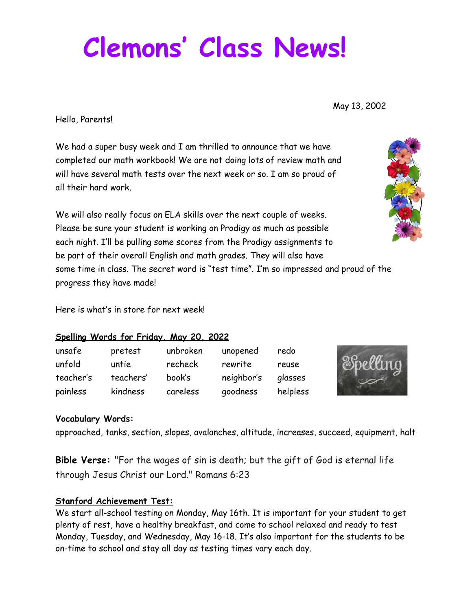# **Clemons ' Class News!**

May 13, 2002

Hello, Parents!

We had a super busy week and I am thrilled to announce that we have completed our math workbook! We are not doing lots of review math and will have several math tests over the next week or so. I am so proud of all their hard work.

We will also really focus on ELA skills over the next couple of weeks. Please be sure your student is working on Prodigy as much as possible each night. I'll be pulling some scores from the Prodigy assignments to be part of their overall English and math grades. They will also have some time in class. The secret word is "test time". I'm so impressed and proud of the progress they have made!

Here is what's in store for next week!

### **Spelling Words for Friday, May 20, 2022**

| unsafe    | pretest   | unbroken | unopened   | redo     |
|-----------|-----------|----------|------------|----------|
| unfold    | untie     | recheck  | rewrite    | reuse    |
| teacher's | teachers' | book's   | neighbor's | glasses  |
| painless  | kindness  | careless | goodness   | helpless |



## **Vocabulary Words:**

approached, tanks, section, slopes, avalanches, altitude, increases, succeed, equipment, halt

**Bible Verse:** "For the wages of sin is death; but the gift of God is eternal life through Jesus Christ our Lord." Romans 6:23

## **Stanford Achievement Test:**

We start all-school testing on Monday, May 16th. It is important for your student to get plenty of rest, have a healthy breakfast, and come to school relaxed and ready to test Monday, Tuesday, and Wednesday, May 16-18. It's also important for the students to be on-time to school and stay all day as testing times vary each day.